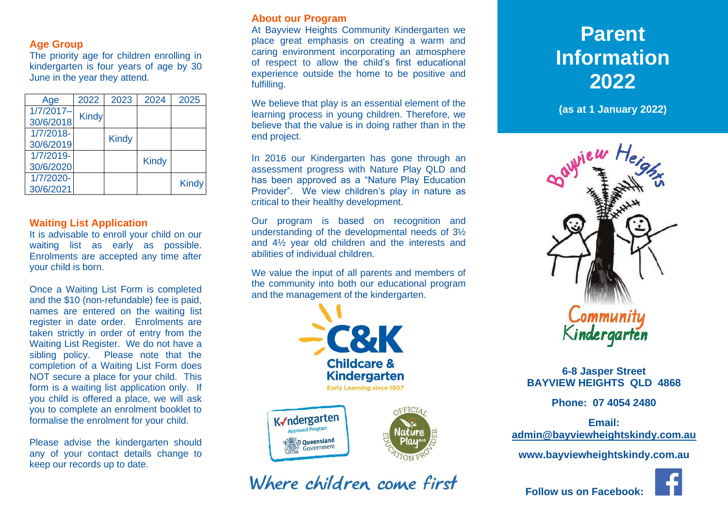# **Age Group**

The priority age for children enrolling in kindergarten is four years of age by 30 June in the year they attend.

| Age                      | 2022         | 2023         | 2024         | 2025         |
|--------------------------|--------------|--------------|--------------|--------------|
| $1/7/2017-$<br>30/6/2018 | <b>Kindy</b> |              |              |              |
| $1/7/2018 -$             |              |              |              |              |
| 30/6/2019                |              | <b>Kindy</b> |              |              |
| 1/7/2019-<br>30/6/2020   |              |              | <b>Kindy</b> |              |
| 1/7/2020-                |              |              |              |              |
| 30/6/2021                |              |              |              | <b>Kindy</b> |

#### **Waiting List Application**

It is advisable to enroll your child on our waiting list as early as possible. Enrolments are accepted any time after your child is born.

Once a Waiting List Form is completed and the \$10 (non-refundable) fee is paid, names are entered on the waiting list register in date order. Enrolments are taken strictly in order of entry from the Waiting List Register. We do not have a sibling policy. Please note that the completion of a Waiting List Form does NOT secure a place for your child. This form is a waiting list application only. If you child is offered a place, we will ask you to complete an enrolment booklet to formalise the enrolment for your child.

Please advise the kindergarten should any of your contact details change to keep our records up to date.

# **About our Program**

At Bayview Heights Community Kindergarten we place great emphasis on creating a warm and caring environment incorporating an atmosphere of respect to allow the child's first educational experience outside the home to be positive and fulfilling.

We believe that play is an essential element of the learning process in young children. Therefore, we believe that the value is in doing rather than in the end project.

In 2016 our Kindergarten has gone through an assessment progress with Nature Play QLD and has been approved as a "Nature Play Education Provider". We view children's play in nature as critical to their healthy development.

Our program is based on recognition and understanding of the developmental needs of 3½ and 4½ year old children and the interests and abilities of individual children.

We value the input of all parents and members of the community into both our educational program and the management of the kindergarten.



# Where children come first

# **Parent Information 2021 2022**

**(as at 1 January 2022) (as at 1 January 2022)**



# **6-8 Jasper Street BAYVIEW HEIGHTS QLD 4868**

**Phone: 07 4054 2480**

**Email: [admin@bayviewheightskindy.com.au](mailto:admin@bayviewheightskindy.com.au)**

**www.bayviewheightskindy.com.au**



 **Follow us on Facebook:**